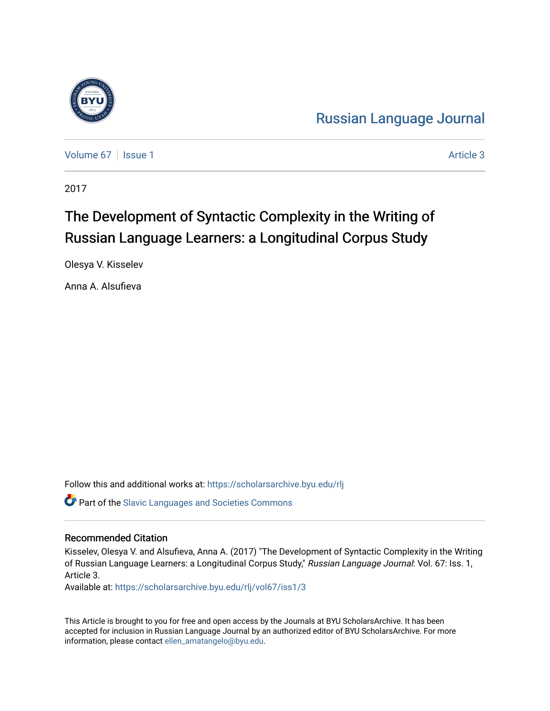

[Russian Language Journal](https://scholarsarchive.byu.edu/rlj) 

[Volume 67](https://scholarsarchive.byu.edu/rlj/vol67) | [Issue 1](https://scholarsarchive.byu.edu/rlj/vol67/iss1) Article 3

2017

# The Development of Syntactic Complexity in the Writing of Russian Language Learners: a Longitudinal Corpus Study

Olesya V. Kisselev

Anna A. Alsufieva

Follow this and additional works at: [https://scholarsarchive.byu.edu/rlj](https://scholarsarchive.byu.edu/rlj?utm_source=scholarsarchive.byu.edu%2Frlj%2Fvol67%2Fiss1%2F3&utm_medium=PDF&utm_campaign=PDFCoverPages)

**C** Part of the Slavic Languages and Societies Commons

#### Recommended Citation

Kisselev, Olesya V. and Alsufieva, Anna A. (2017) "The Development of Syntactic Complexity in the Writing of Russian Language Learners: a Longitudinal Corpus Study," Russian Language Journal: Vol. 67: Iss. 1, Article 3.

Available at: [https://scholarsarchive.byu.edu/rlj/vol67/iss1/3](https://scholarsarchive.byu.edu/rlj/vol67/iss1/3?utm_source=scholarsarchive.byu.edu%2Frlj%2Fvol67%2Fiss1%2F3&utm_medium=PDF&utm_campaign=PDFCoverPages) 

This Article is brought to you for free and open access by the Journals at BYU ScholarsArchive. It has been accepted for inclusion in Russian Language Journal by an authorized editor of BYU ScholarsArchive. For more information, please contact [ellen\\_amatangelo@byu.edu.](mailto:ellen_amatangelo@byu.edu)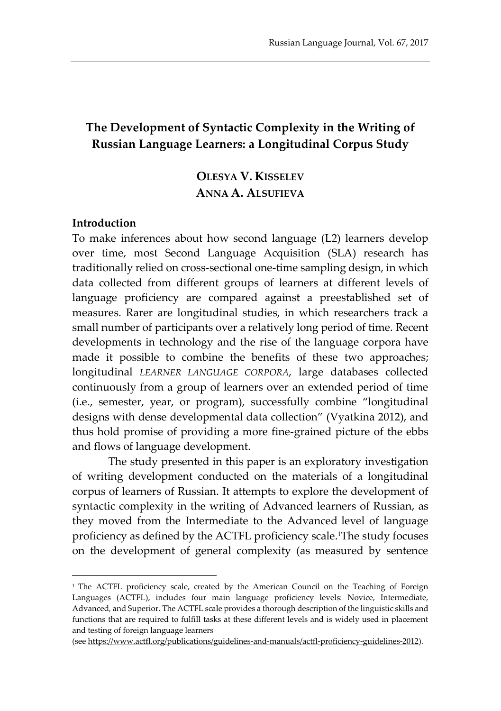## **The Development of Syntactic Complexity in the Writing of Russian Language Learners: a Longitudinal Corpus Study**

# **OLESYA V. KISSELEV ANNA A. ALSUFIEVA**

#### **Introduction**

 $\overline{a}$ 

To make inferences about how second language (L2) learners develop over time, most Second Language Acquisition (SLA) research has traditionally relied on cross-sectional one-time sampling design, in which data collected from different groups of learners at different levels of language proficiency are compared against a preestablished set of measures. Rarer are longitudinal studies, in which researchers track a small number of participants over a relatively long period of time. Recent developments in technology and the rise of the language corpora have made it possible to combine the benefits of these two approaches; longitudinal *LEARNER LANGUAGE CORPORA*, large databases collected continuously from a group of learners over an extended period of time (i.e., semester, year, or program), successfully combine "longitudinal designs with dense developmental data collection" (Vyatkina 2012), and thus hold promise of providing a more fine-grained picture of the ebbs and flows of language development.

The study presented in this paper is an exploratory investigation of writing development conducted on the materials of a longitudinal corpus of learners of Russian. It attempts to explore the development of syntactic complexity in the writing of Advanced learners of Russian, as they moved from the Intermediate to the Advanced level of language proficiency as defined by the ACTFL proficiency scale. <sup>1</sup>The study focuses on the development of general complexity (as measured by sentence

<sup>&</sup>lt;sup>1</sup> The ACTFL proficiency scale, created by the American Council on the Teaching of Foreign Languages (ACTFL), includes four main language proficiency levels: Novice, Intermediate, Advanced, and Superior. The ACTFL scale provides a thorough description of the linguistic skills and functions that are required to fulfill tasks at these different levels and is widely used in placement and testing of foreign language learners

<sup>(</sup>se[e https://www.actfl.org/publications/guidelines-and-manuals/actfl-proficiency-guidelines-2012\)](https://www.actfl.org/publications/guidelines-and-manuals/actfl-proficiency-guidelines-2012).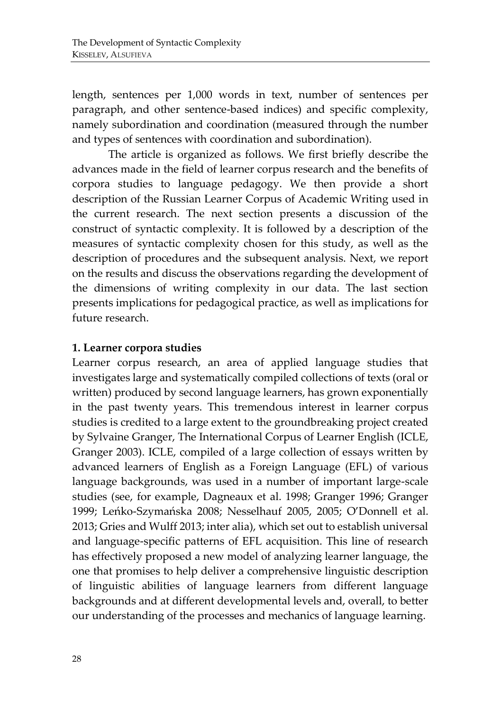length, sentences per 1,000 words in text, number of sentences per paragraph, and other sentence-based indices) and specific complexity, namely subordination and coordination (measured through the number and types of sentences with coordination and subordination).

The article is organized as follows. We first briefly describe the advances made in the field of learner corpus research and the benefits of corpora studies to language pedagogy. We then provide a short description of the Russian Learner Corpus of Academic Writing used in the current research. The next section presents a discussion of the construct of syntactic complexity. It is followed by a description of the measures of syntactic complexity chosen for this study, as well as the description of procedures and the subsequent analysis. Next, we report on the results and discuss the observations regarding the development of the dimensions of writing complexity in our data. The last section presents implications for pedagogical practice, as well as implications for future research.

#### **1. Learner corpora studies**

Learner corpus research, an area of applied language studies that investigates large and systematically compiled collections of texts (oral or written) produced by second language learners, has grown exponentially in the past twenty years. This tremendous interest in learner corpus studies is credited to a large extent to the groundbreaking project created by Sylvaine Granger, The International Corpus of Learner English (ICLE, Granger 2003). ICLE, compiled of a large collection of essays written by advanced learners of English as a Foreign Language (EFL) of various language backgrounds, was used in a number of important large-scale studies (see, for example, Dagneaux et al. 1998; Granger 1996; Granger 1999; Leńko-Szymańska 2008; Nesselhauf 2005, 2005; O'Donnell et al. 2013; Gries and Wulff 2013; inter alia), which set out to establish universal and language-specific patterns of EFL acquisition. This line of research has effectively proposed a new model of analyzing learner language, the one that promises to help deliver a comprehensive linguistic description of linguistic abilities of language learners from different language backgrounds and at different developmental levels and, overall, to better our understanding of the processes and mechanics of language learning.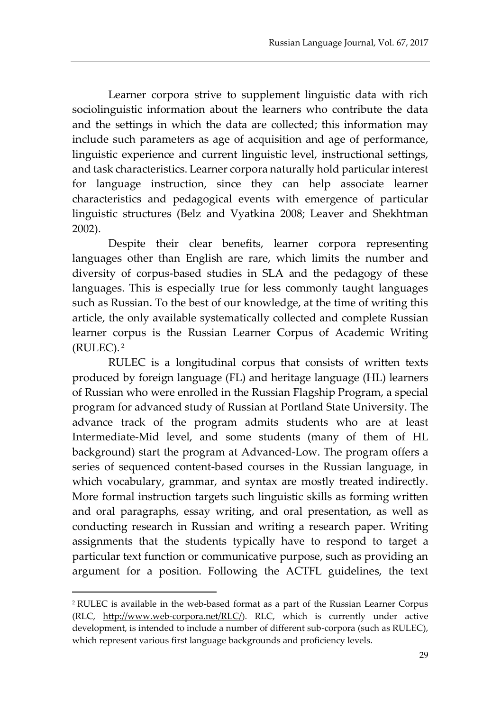Learner corpora strive to supplement linguistic data with rich sociolinguistic information about the learners who contribute the data and the settings in which the data are collected; this information may include such parameters as age of acquisition and age of performance, linguistic experience and current linguistic level, instructional settings, and task characteristics. Learner corpora naturally hold particular interest for language instruction, since they can help associate learner characteristics and pedagogical events with emergence of particular linguistic structures (Belz and Vyatkina 2008; Leaver and Shekhtman 2002).

Despite their clear benefits, learner corpora representing languages other than English are rare, which limits the number and diversity of corpus-based studies in SLA and the pedagogy of these languages. This is especially true for less commonly taught languages such as Russian. To the best of our knowledge, at the time of writing this article, the only available systematically collected and complete Russian learner corpus is the Russian Learner Corpus of Academic Writing (RULEC). <sup>2</sup>

RULEC is a longitudinal corpus that consists of written texts produced by foreign language (FL) and heritage language (HL) learners of Russian who were enrolled in the Russian Flagship Program, a special program for advanced study of Russian at Portland State University. The advance track of the program admits students who are at least Intermediate-Mid level, and some students (many of them of HL background) start the program at Advanced-Low. The program offers a series of sequenced content-based courses in the Russian language, in which vocabulary, grammar, and syntax are mostly treated indirectly. More formal instruction targets such linguistic skills as forming written and oral paragraphs, essay writing, and oral presentation, as well as conducting research in Russian and writing a research paper. Writing assignments that the students typically have to respond to target a particular text function or communicative purpose, such as providing an argument for a position. Following the ACTFL guidelines, the text

l

<sup>2</sup> RULEC is available in the web-based format as a part of the Russian Learner Corpus (RLC, [http://www.web-corpora.net/RLC/\)](http://www.web-corpora.net/RLC/). RLC, which is currently under active development, is intended to include a number of different sub-corpora (such as RULEC), which represent various first language backgrounds and proficiency levels.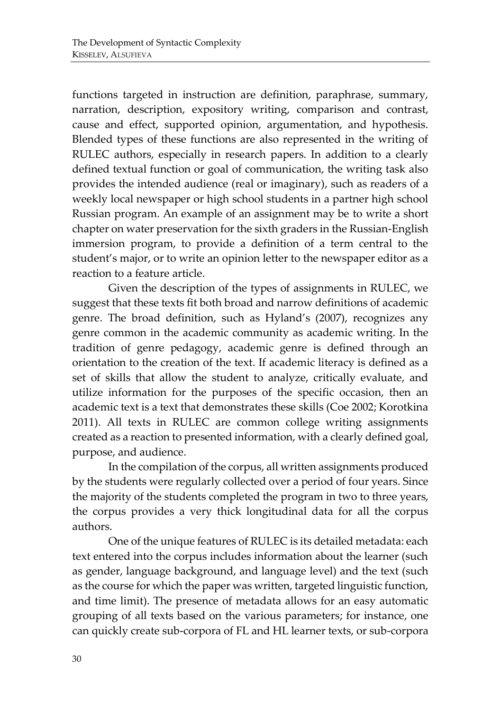functions targeted in instruction are definition, paraphrase, summary, narration, description, expository writing, comparison and contrast, cause and effect, supported opinion, argumentation, and hypothesis. Blended types of these functions are also represented in the writing of RULEC authors, especially in research papers. In addition to a clearly defined textual function or goal of communication, the writing task also provides the intended audience (real or imaginary), such as readers of a weekly local newspaper or high school students in a partner high school Russian program. An example of an assignment may be to write a short chapter on water preservation for the sixth graders in the Russian-English immersion program, to provide a definition of a term central to the student's major, or to write an opinion letter to the newspaper editor as a reaction to a feature article.

Given the description of the types of assignments in RULEC, we suggest that these texts fit both broad and narrow definitions of academic genre. The broad definition, such as Hyland's (2007), recognizes any genre common in the academic community as academic writing. In the tradition of genre pedagogy, academic genre is defined through an orientation to the creation of the text. If academic literacy is defined as a set of skills that allow the student to analyze, critically evaluate, and utilize information for the purposes of the specific occasion, then an academic text is a text that demonstrates these skills (Coe 2002; Korotkina 2011). All texts in RULEC are common college writing assignments created as a reaction to presented information, with a clearly defined goal, purpose, and audience.

In the compilation of the corpus, all written assignments produced by the students were regularly collected over a period of four years. Since the majority of the students completed the program in two to three years, the corpus provides a very thick longitudinal data for all the corpus authors.

One of the unique features of RULEC is its detailed metadata: each text entered into the corpus includes information about the learner (such as gender, language background, and language level) and the text (such as the course for which the paper was written, targeted linguistic function, and time limit). The presence of metadata allows for an easy automatic grouping of all texts based on the various parameters; for instance, one can quickly create sub-corpora of FL and HL learner texts, or sub-corpora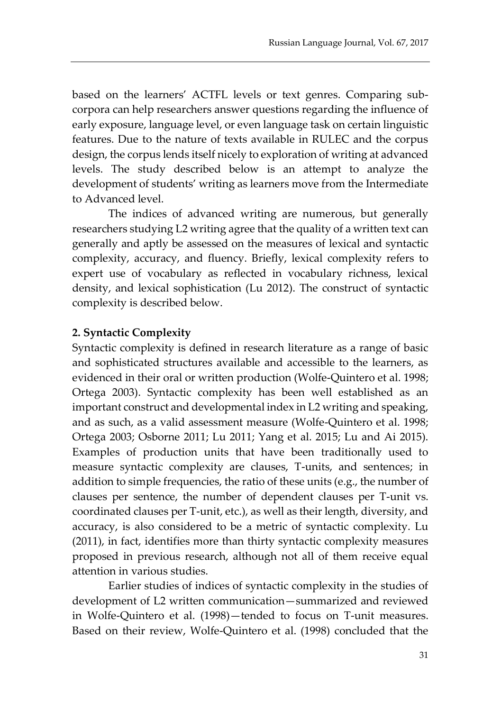based on the learners' ACTFL levels or text genres. Comparing subcorpora can help researchers answer questions regarding the influence of early exposure, language level, or even language task on certain linguistic features. Due to the nature of texts available in RULEC and the corpus design, the corpus lends itself nicely to exploration of writing at advanced levels. The study described below is an attempt to analyze the development of students' writing as learners move from the Intermediate to Advanced level.

The indices of advanced writing are numerous, but generally researchers studying L2 writing agree that the quality of a written text can generally and aptly be assessed on the measures of lexical and syntactic complexity, accuracy, and fluency. Briefly, lexical complexity refers to expert use of vocabulary as reflected in vocabulary richness, lexical density, and lexical sophistication (Lu 2012). The construct of syntactic complexity is described below.

#### **2. Syntactic Complexity**

Syntactic complexity is defined in research literature as a range of basic and sophisticated structures available and accessible to the learners, as evidenced in their oral or written production (Wolfe-Quintero et al. 1998; Ortega 2003). Syntactic complexity has been well established as an important construct and developmental index in L2 writing and speaking, and as such, as a valid assessment measure (Wolfe-Quintero et al. 1998; Ortega 2003; Osborne 2011; Lu 2011; Yang et al. 2015; Lu and Ai 2015). Examples of production units that have been traditionally used to measure syntactic complexity are clauses, T-units, and sentences; in addition to simple frequencies, the ratio of these units (e.g., the number of clauses per sentence, the number of dependent clauses per T-unit vs. coordinated clauses per T-unit, etc.), as well as their length, diversity, and accuracy, is also considered to be a metric of syntactic complexity. Lu (2011), in fact, identifies more than thirty syntactic complexity measures proposed in previous research, although not all of them receive equal attention in various studies.

Earlier studies of indices of syntactic complexity in the studies of development of L2 written communication—summarized and reviewed in Wolfe-Quintero et al. (1998)—tended to focus on T-unit measures. Based on their review, Wolfe-Quintero et al. (1998) concluded that the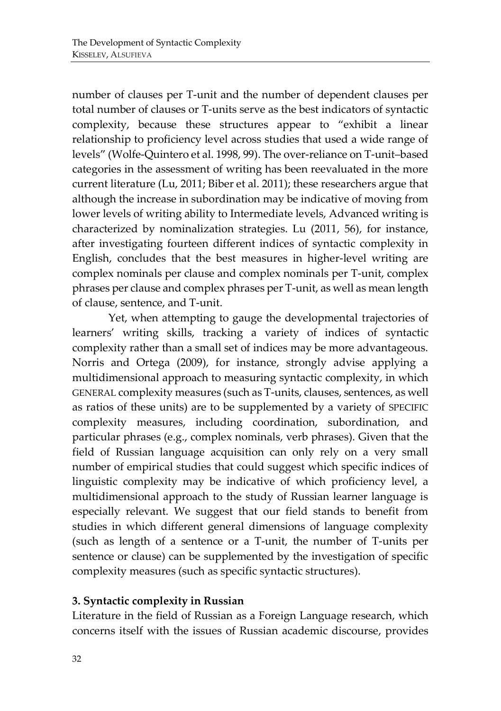number of clauses per T-unit and the number of dependent clauses per total number of clauses or T-units serve as the best indicators of syntactic complexity, because these structures appear to "exhibit a linear relationship to proficiency level across studies that used a wide range of levels" (Wolfe-Quintero et al. 1998, 99). The over-reliance on T-unit–based categories in the assessment of writing has been reevaluated in the more current literature (Lu, 2011; Biber et al. 2011); these researchers argue that although the increase in subordination may be indicative of moving from lower levels of writing ability to Intermediate levels, Advanced writing is characterized by nominalization strategies. Lu (2011, 56), for instance, after investigating fourteen different indices of syntactic complexity in English, concludes that the best measures in higher-level writing are complex nominals per clause and complex nominals per T-unit, complex phrases per clause and complex phrases per T-unit, as well as mean length of clause, sentence, and T-unit.

Yet, when attempting to gauge the developmental trajectories of learners' writing skills, tracking a variety of indices of syntactic complexity rather than a small set of indices may be more advantageous. Norris and Ortega (2009), for instance, strongly advise applying a multidimensional approach to measuring syntactic complexity, in which GENERAL complexity measures (such as T-units, clauses, sentences, as well as ratios of these units) are to be supplemented by a variety of SPECIFIC complexity measures, including coordination, subordination, and particular phrases (e.g., complex nominals, verb phrases). Given that the field of Russian language acquisition can only rely on a very small number of empirical studies that could suggest which specific indices of linguistic complexity may be indicative of which proficiency level, a multidimensional approach to the study of Russian learner language is especially relevant. We suggest that our field stands to benefit from studies in which different general dimensions of language complexity (such as length of a sentence or a T-unit, the number of T-units per sentence or clause) can be supplemented by the investigation of specific complexity measures (such as specific syntactic structures).

#### **3. Syntactic complexity in Russian**

Literature in the field of Russian as a Foreign Language research, which concerns itself with the issues of Russian academic discourse, provides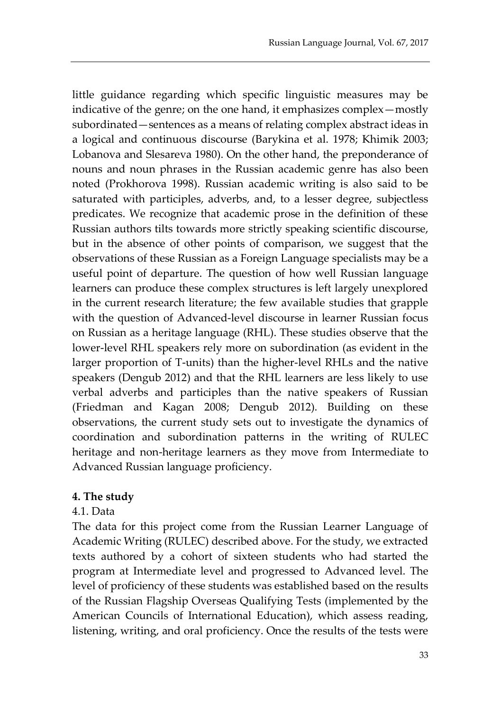little guidance regarding which specific linguistic measures may be indicative of the genre; on the one hand, it emphasizes complex—mostly subordinated—sentences as a means of relating complex abstract ideas in a logical and continuous discourse (Barykina et al. 1978; Khimik 2003; Lobanova and Slesareva 1980). On the other hand, the preponderance of nouns and noun phrases in the Russian academic genre has also been noted (Prokhorova 1998). Russian academic writing is also said to be saturated with participles, adverbs, and, to a lesser degree, subjectless predicates. We recognize that academic prose in the definition of these Russian authors tilts towards more strictly speaking scientific discourse, but in the absence of other points of comparison, we suggest that the observations of these Russian as a Foreign Language specialists may be a useful point of departure. The question of how well Russian language learners can produce these complex structures is left largely unexplored in the current research literature; the few available studies that grapple with the question of Advanced-level discourse in learner Russian focus on Russian as a heritage language (RHL). These studies observe that the lower-level RHL speakers rely more on subordination (as evident in the larger proportion of T-units) than the higher-level RHLs and the native speakers (Dengub 2012) and that the RHL learners are less likely to use verbal adverbs and participles than the native speakers of Russian (Friedman and Kagan 2008; Dengub 2012). Building on these observations, the current study sets out to investigate the dynamics of coordination and subordination patterns in the writing of RULEC heritage and non-heritage learners as they move from Intermediate to Advanced Russian language proficiency.

#### **4. The study**

#### 4.1. Data

The data for this project come from the Russian Learner Language of Academic Writing (RULEC) described above. For the study, we extracted texts authored by a cohort of sixteen students who had started the program at Intermediate level and progressed to Advanced level. The level of proficiency of these students was established based on the results of the Russian Flagship Overseas Qualifying Tests (implemented by the American Councils of International Education), which assess reading, listening, writing, and oral proficiency. Once the results of the tests were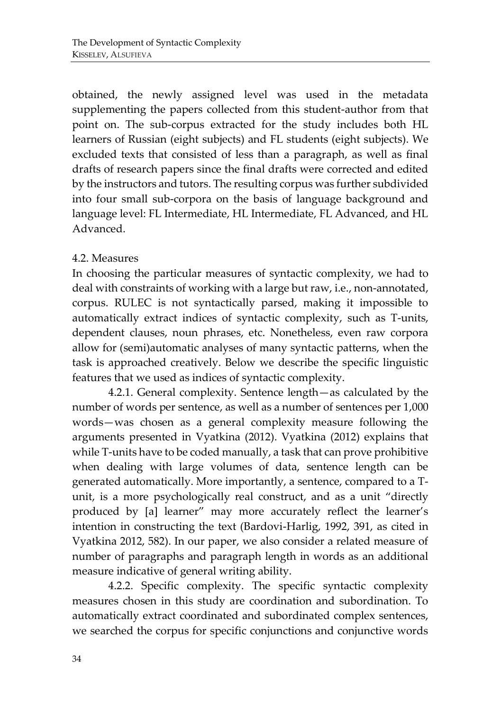obtained, the newly assigned level was used in the metadata supplementing the papers collected from this student-author from that point on. The sub-corpus extracted for the study includes both HL learners of Russian (eight subjects) and FL students (eight subjects). We excluded texts that consisted of less than a paragraph, as well as final drafts of research papers since the final drafts were corrected and edited by the instructors and tutors. The resulting corpus was further subdivided into four small sub-corpora on the basis of language background and language level: FL Intermediate, HL Intermediate, FL Advanced, and HL Advanced.

#### 4.2. Measures

In choosing the particular measures of syntactic complexity, we had to deal with constraints of working with a large but raw, i.e., non-annotated, corpus. RULEC is not syntactically parsed, making it impossible to automatically extract indices of syntactic complexity, such as T-units, dependent clauses, noun phrases, etc. Nonetheless, even raw corpora allow for (semi)automatic analyses of many syntactic patterns, when the task is approached creatively. Below we describe the specific linguistic features that we used as indices of syntactic complexity.

4.2.1. General complexity. Sentence length—as calculated by the number of words per sentence, as well as a number of sentences per 1,000 words—was chosen as a general complexity measure following the arguments presented in Vyatkina (2012). Vyatkina (2012) explains that while T-units have to be coded manually, a task that can prove prohibitive when dealing with large volumes of data, sentence length can be generated automatically. More importantly, a sentence, compared to a Tunit, is a more psychologically real construct, and as a unit "directly produced by [a] learner" may more accurately reflect the learner's intention in constructing the text (Bardovi-Harlig, 1992, 391, as cited in Vyatkina 2012, 582). In our paper, we also consider a related measure of number of paragraphs and paragraph length in words as an additional measure indicative of general writing ability.

4.2.2. Specific complexity. The specific syntactic complexity measures chosen in this study are coordination and subordination. To automatically extract coordinated and subordinated complex sentences, we searched the corpus for specific conjunctions and conjunctive words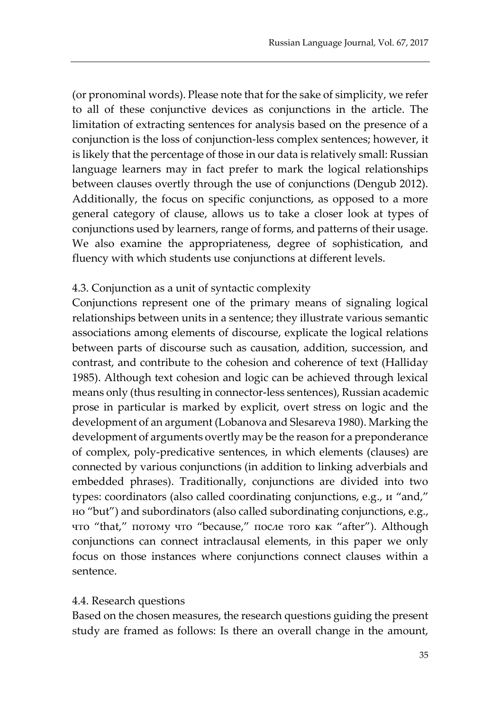(or pronominal words). Please note that for the sake of simplicity, we refer to all of these conjunctive devices as conjunctions in the article. The limitation of extracting sentences for analysis based on the presence of a conjunction is the loss of conjunction-less complex sentences; however, it is likely that the percentage of those in our data is relatively small: Russian language learners may in fact prefer to mark the logical relationships between clauses overtly through the use of conjunctions (Dengub 2012). Additionally, the focus on specific conjunctions, as opposed to a more general category of clause, allows us to take a closer look at types of conjunctions used by learners, range of forms, and patterns of their usage. We also examine the appropriateness, degree of sophistication, and fluency with which students use conjunctions at different levels.

#### 4.3. Conjunction as a unit of syntactic complexity

Conjunctions represent one of the primary means of signaling logical relationships between units in a sentence; they illustrate various semantic associations among elements of discourse, explicate the logical relations between parts of discourse such as causation, addition, succession, and contrast, and contribute to the cohesion and coherence of text (Halliday 1985). Although text cohesion and logic can be achieved through lexical means only (thus resulting in connector-less sentences), Russian academic prose in particular is marked by explicit, overt stress on logic and the development of an argument (Lobanova and Slesareva 1980). Marking the development of arguments overtly may be the reason for a preponderance of complex, poly-predicative sentences, in which elements (clauses) are connected by various conjunctions (in addition to linking adverbials and embedded phrases). Traditionally, conjunctions are divided into two types: coordinators (also called coordinating conjunctions, e.g., и "and," но "but") and subordinators (also called subordinating conjunctions, e.g., что "that," потому что "because," после того как "after"). Although conjunctions can connect intraclausal elements, in this paper we only focus on those instances where conjunctions connect clauses within a sentence.

#### 4.4. Research questions

Based on the chosen measures, the research questions guiding the present study are framed as follows: Is there an overall change in the amount,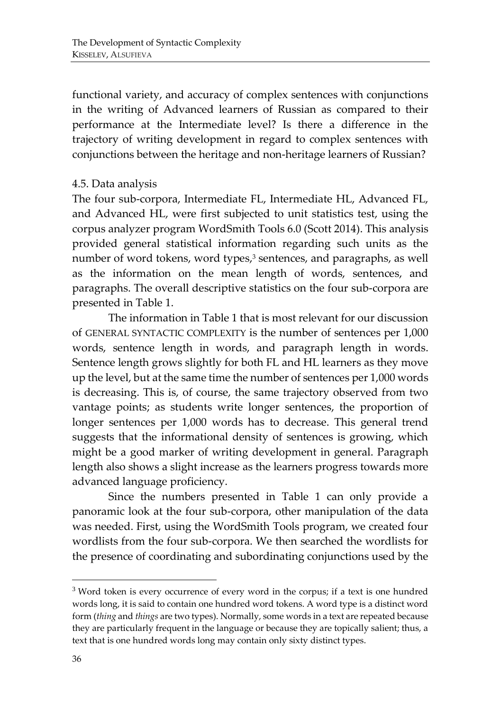functional variety, and accuracy of complex sentences with conjunctions in the writing of Advanced learners of Russian as compared to their performance at the Intermediate level? Is there a difference in the trajectory of writing development in regard to complex sentences with conjunctions between the heritage and non-heritage learners of Russian?

#### 4.5. Data analysis

The four sub-corpora, Intermediate FL, Intermediate HL, Advanced FL, and Advanced HL, were first subjected to unit statistics test, using the corpus analyzer program WordSmith Tools 6.0 (Scott 2014). This analysis provided general statistical information regarding such units as the number of word tokens, word types,<sup>3</sup> sentences, and paragraphs, as well as the information on the mean length of words, sentences, and paragraphs. The overall descriptive statistics on the four sub-corpora are presented in Table 1.

The information in Table 1 that is most relevant for our discussion of GENERAL SYNTACTIC COMPLEXITY is the number of sentences per 1,000 words, sentence length in words, and paragraph length in words. Sentence length grows slightly for both FL and HL learners as they move up the level, but at the same time the number of sentences per 1,000 words is decreasing. This is, of course, the same trajectory observed from two vantage points; as students write longer sentences, the proportion of longer sentences per 1,000 words has to decrease. This general trend suggests that the informational density of sentences is growing, which might be a good marker of writing development in general. Paragraph length also shows a slight increase as the learners progress towards more advanced language proficiency.

Since the numbers presented in Table 1 can only provide a panoramic look at the four sub-corpora, other manipulation of the data was needed. First, using the WordSmith Tools program, we created four wordlists from the four sub-corpora. We then searched the wordlists for the presence of coordinating and subordinating conjunctions used by the

 $\overline{a}$ 

<sup>&</sup>lt;sup>3</sup> Word token is every occurrence of every word in the corpus; if a text is one hundred words long, it is said to contain one hundred word tokens. A word type is a distinct word form (*thing* and *things* are two types). Normally, some words in a text are repeated because they are particularly frequent in the language or because they are topically salient; thus, a text that is one hundred words long may contain only sixty distinct types.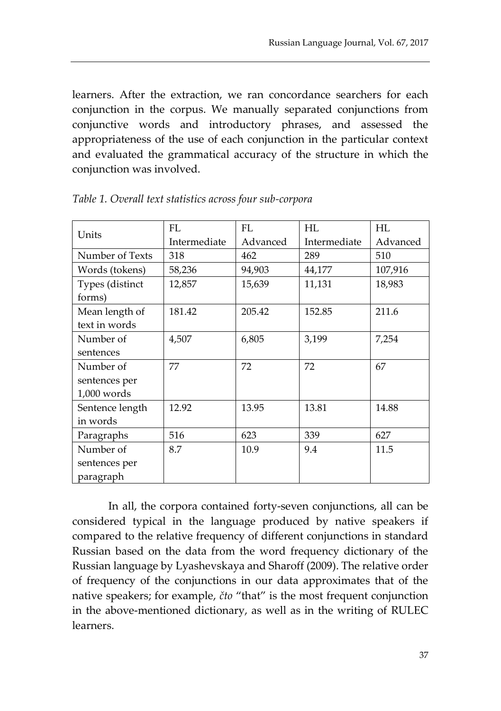learners. After the extraction, we ran concordance searchers for each conjunction in the corpus. We manually separated conjunctions from conjunctive words and introductory phrases, and assessed the appropriateness of the use of each conjunction in the particular context and evaluated the grammatical accuracy of the structure in which the conjunction was involved.

| Units           | FL           | <b>FL</b> | HL           | HL       |
|-----------------|--------------|-----------|--------------|----------|
|                 | Intermediate | Advanced  | Intermediate | Advanced |
| Number of Texts | 318          | 462       | 289          | 510      |
| Words (tokens)  | 58,236       | 94,903    | 44,177       | 107,916  |
| Types (distinct | 12,857       | 15,639    | 11,131       | 18,983   |
| forms)          |              |           |              |          |
| Mean length of  | 181.42       | 205.42    | 152.85       | 211.6    |
| text in words   |              |           |              |          |
| Number of       | 4,507        | 6,805     | 3,199        | 7,254    |
| sentences       |              |           |              |          |
| Number of       | 77           | 72        | 72           | 67       |
| sentences per   |              |           |              |          |
| $1,000$ words   |              |           |              |          |
| Sentence length | 12.92        | 13.95     | 13.81        | 14.88    |
| in words        |              |           |              |          |
| Paragraphs      | 516          | 623       | 339          | 627      |
| Number of       | 8.7          | 10.9      | 9.4          | 11.5     |
| sentences per   |              |           |              |          |
| paragraph       |              |           |              |          |

*Table 1. Overall text statistics across four sub-corpora*

In all, the corpora contained forty-seven conjunctions, all can be considered typical in the language produced by native speakers if compared to the relative frequency of different conjunctions in standard Russian based on the data from the word frequency dictionary of the Russian language by Lyashevskaya and Sharoff (2009). The relative order of frequency of the conjunctions in our data approximates that of the native speakers; for example, *čto* "that" is the most frequent conjunction in the above-mentioned dictionary, as well as in the writing of RULEC learners.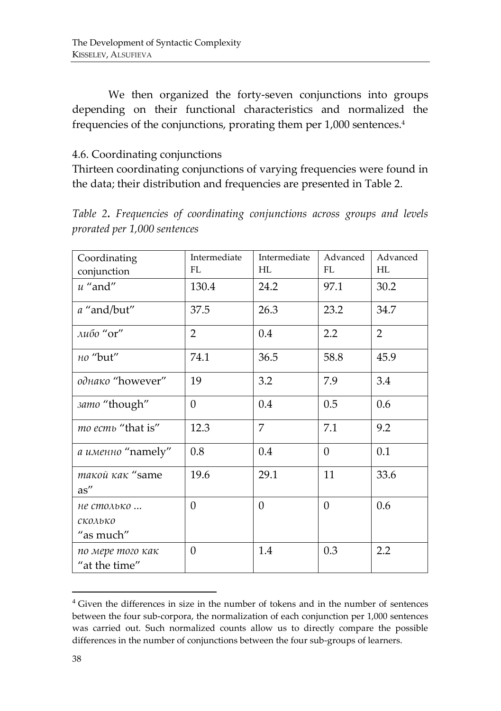We then organized the forty-seven conjunctions into groups depending on their functional characteristics and normalized the frequencies of the conjunctions, prorating them per 1,000 sentences.<sup>4</sup>

#### 4.6. Coordinating conjunctions

Thirteen coordinating conjunctions of varying frequencies were found in the data; their distribution and frequencies are presented in Table 2.

*Table 2. Frequencies of coordinating conjunctions across groups and levels prorated per 1,000 sentences*

| Coordinating            | Intermediate     | Intermediate   | Advanced     | Advanced       |
|-------------------------|------------------|----------------|--------------|----------------|
| conjunction             | FL               | HL             | FL.          | HL             |
| $u$ "and"               | 130.4            | 24.2           | 97.1         | 30.2           |
| a "and/but"             | 37.5             | 26.3           | 23.2         | 34.7           |
| либо "or"               | $\overline{2}$   | 0.4            | 2.2          | $\overline{2}$ |
| Ho "but"                | 74.1             | 36.5           | 58.8         | 45.9           |
| однако "however"        | 19               | 3.2            | 7.9          | 3.4            |
| samo "though"           | $\boldsymbol{0}$ | 0.4            | 0.5          | 0.6            |
| mo ecmo "that is"       | 12.3             | $\overline{7}$ | 7.1          | 9.2            |
| а именно "namely"       | 0.8              | 0.4            | $\mathbf{0}$ | 0.1            |
| такой как "same<br>as'' | 19.6             | 29.1           | 11           | 33.6           |
| не столько              | $\Omega$         | $\Omega$       | $\Omega$     | 0.6            |
| сколько                 |                  |                |              |                |
| "as much"               |                  |                |              |                |
| по мере того как        | $\theta$         | 1.4            | 0.3          | 2.2            |
| "at the time"           |                  |                |              |                |

<sup>4</sup> Given the differences in size in the number of tokens and in the number of sentences between the four sub-corpora, the normalization of each conjunction per 1,000 sentences was carried out. Such normalized counts allow us to directly compare the possible differences in the number of conjunctions between the four sub-groups of learners.

l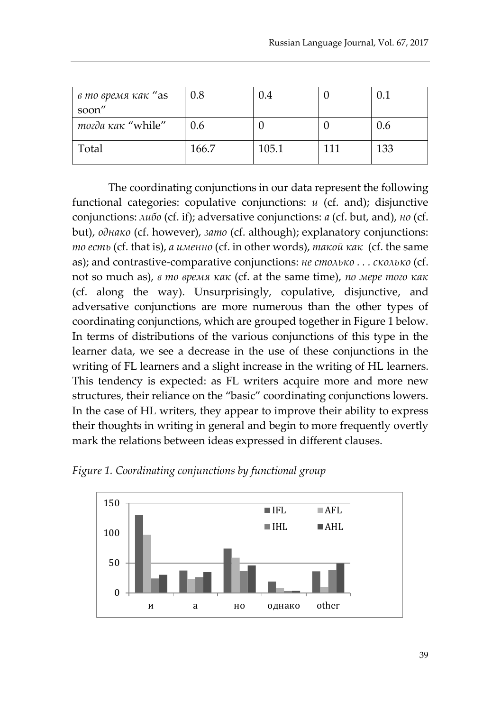| в то время как "as | 0.8   | 0.4   |     | 0.1 |
|--------------------|-------|-------|-----|-----|
| soon"              |       |       |     |     |
| mozda kak "while"  | 0.6   |       |     | 0.6 |
| Total              | 166.7 | 105.1 | 111 | 133 |

The coordinating conjunctions in our data represent the following functional categories: copulative conjunctions: *и* (cf. and); disjunctive conjunctions: *либо* (cf. if); adversative conjunctions: *а* (cf. but, and), *но* (cf. but), *однако* (cf. however), *зато* (cf. although); explanatory conjunctions: *то есть* (cf. that is), *а именно* (cf. in other words), *такой как* (cf. the same as); and contrastive-comparative conjunctions: *не столько . . . сколько* (cf. not so much as), *в то время как* (cf. at the same time), *по мере того как* (cf. along the way). Unsurprisingly, copulative, disjunctive, and adversative conjunctions are more numerous than the other types of coordinating conjunctions, which are grouped together in Figure 1 below. In terms of distributions of the various conjunctions of this type in the learner data, we see a decrease in the use of these conjunctions in the writing of FL learners and a slight increase in the writing of HL learners. This tendency is expected: as FL writers acquire more and more new structures, their reliance on the "basic" coordinating conjunctions lowers. In the case of HL writers, they appear to improve their ability to express their thoughts in writing in general and begin to more frequently overtly mark the relations between ideas expressed in different clauses.



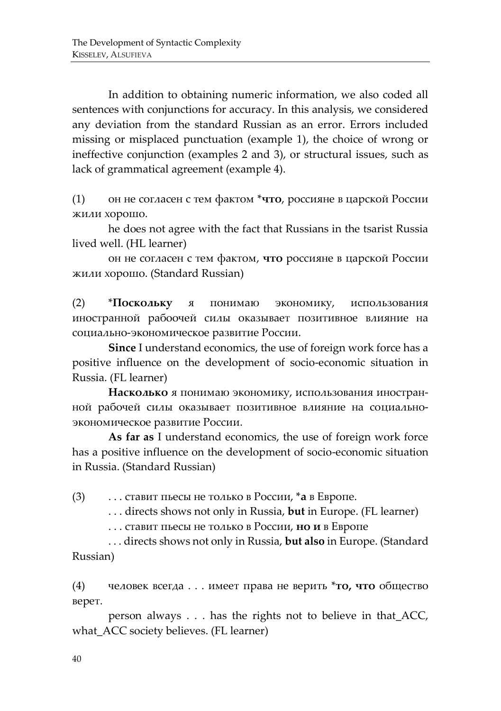In addition to obtaining numeric information, we also coded all sentences with conjunctions for accuracy. In this analysis, we considered any deviation from the standard Russian as an error. Errors included missing or misplaced punctuation (example 1), the choice of wrong or ineffective conjunction (examples 2 and 3), or structural issues, such as lack of grammatical agreement (example 4).

(1) он не согласен с тем фактом \***что**, россияне в царской России жили хорошо.

 he does not agree with the fact that Russians in the tsarist Russia lived well. (HL learner)

 он не согласен с тем фактом, **что** россияне в царской России жили хорошо. (Standard Russian)

(2) \***Поскольку** я понимаю экономику, использования иностранной рабоочей силы оказывает позитивное влияние на социально-экономическое развитие России.

**Since** I understand economics, the use of foreign work force has a positive influence on the development of socio-economic situation in Russia. (FL learner)

**Насколько** я понимаю экономику, использования иностранной рабочей силы оказывает позитивное влияние на социальноэкономическое развитие России.

**As far as** I understand economics, the use of foreign work force has a positive influence on the development of socio-economic situation in Russia. (Standard Russian)

(3) . . . ставит пьесы не только в России, \***а** в Европе.

. . . directs shows not only in Russia, **but** in Europe. (FL learner)

. . . ставит пьесы не только в России, **но и** в Европе

. . . directs shows not only in Russia, **but also** in Europe. (Standard Russian)

(4) человек всегда . . . имеет права не верить \***то, что** общество верет.

 person always . . . has the rights not to believe in that\_ACC, what\_ACC society believes. (FL learner)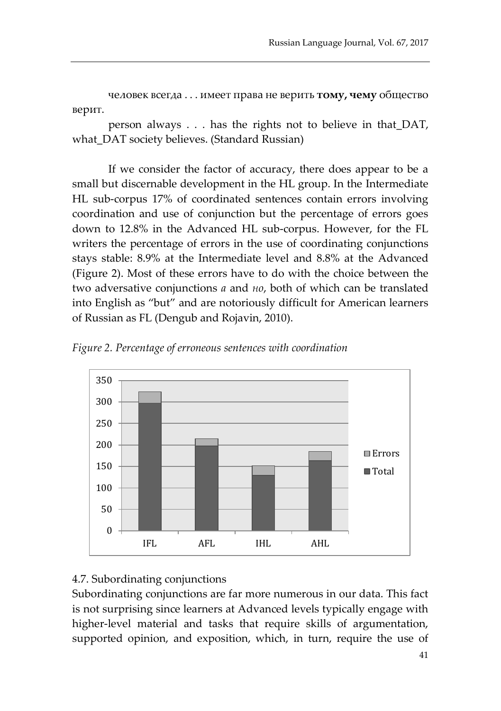человек всегда . . . имеет права не верить **тому, чему** общество верит.

person always . . . has the rights not to believe in that\_DAT, what\_DAT society believes. (Standard Russian)

If we consider the factor of accuracy, there does appear to be a small but discernable development in the HL group. In the Intermediate HL sub-corpus 17% of coordinated sentences contain errors involving coordination and use of conjunction but the percentage of errors goes down to 12.8% in the Advanced HL sub-corpus. However, for the FL writers the percentage of errors in the use of coordinating conjunctions stays stable: 8.9% at the Intermediate level and 8.8% at the Advanced (Figure 2). Most of these errors have to do with the choice between the two adversative conjunctions *а* and *но*, both of which can be translated into English as "but" and are notoriously difficult for American learners of Russian as FL (Dengub and Rojavin, 2010).





#### 4.7. Subordinating conjunctions

Subordinating conjunctions are far more numerous in our data. This fact is not surprising since learners at Advanced levels typically engage with higher-level material and tasks that require skills of argumentation, supported opinion, and exposition, which, in turn, require the use of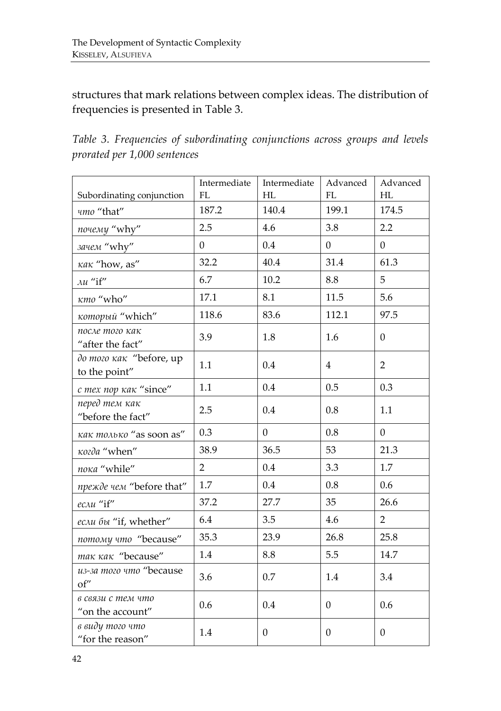structures that mark relations between complex ideas. The distribution of frequencies is presented in Table 3.

*Table 3. Frequencies of subordinating conjunctions across groups and levels prorated per 1,000 sentences*

| Subordinating conjunction                | Intermediate<br>FL | Intermediate<br>HL | Advanced<br>FL   | Advanced<br>HL   |
|------------------------------------------|--------------------|--------------------|------------------|------------------|
| umo "that"                               | 187.2              | 140.4              | 199.1            | 174.5            |
| почему "why"                             | 2.5                | 4.6                | 3.8              | 2.2              |
| зачем "why"                              | $\overline{0}$     | 0.4                | $\overline{0}$   | $\overline{0}$   |
| κακ "how, as"                            | 32.2               | 40.4               | 31.4             | 61.3             |
| $\lambda u$ "if"                         | 6.7                | 10.2               | 8.8              | 5                |
| κmo "who"                                | 17.1               | 8.1                | 11.5             | 5.6              |
| который "which"                          | 118.6              | 83.6               | 112.1            | 97.5             |
| после того как<br>"after the fact"       | 3.9                | 1.8                | 1.6              | $\overline{0}$   |
| до того как "before, up<br>to the point" | 1.1                | 0.4                | 4                | $\overline{2}$   |
| с тех пор как "since"                    | 1.1                | 0.4                | 0.5              | 0.3              |
| перед тем как<br>"before the fact"       | 2.5                | 0.4                | 0.8              | 1.1              |
| как только "as soon as"                  | 0.3                | $\overline{0}$     | 0.8              | $\overline{0}$   |
| κοιδα "when"                             | 38.9               | 36.5               | 53               | 21.3             |
| пока "while"                             | $\overline{2}$     | 0.4                | 3.3              | 1.7              |
| прежде чем "before that"                 | 1.7                | 0.4                | 0.8              | 0.6              |
| если "if"                                | 37.2               | 27.7               | 35               | 26.6             |
| если бы "if, whether"                    | 6.4                | 3.5                | 4.6              | $\overline{2}$   |
| потому что "because"                     | 35.3               | 23.9               | 26.8             | 25.8             |
| mak kak "because"                        | 1.4                | 8.8                | 5.5              | 14.7             |
| из-за того что "because<br>of"           | 3.6                | 0.7                | 1.4              | 3.4              |
| в связи с тем что<br>"on the account"    | 0.6                | 0.4                | $\boldsymbol{0}$ | 0.6              |
| в виду того что<br>"for the reason"      | 1.4                | $\mathbf{0}$       | $\boldsymbol{0}$ | $\boldsymbol{0}$ |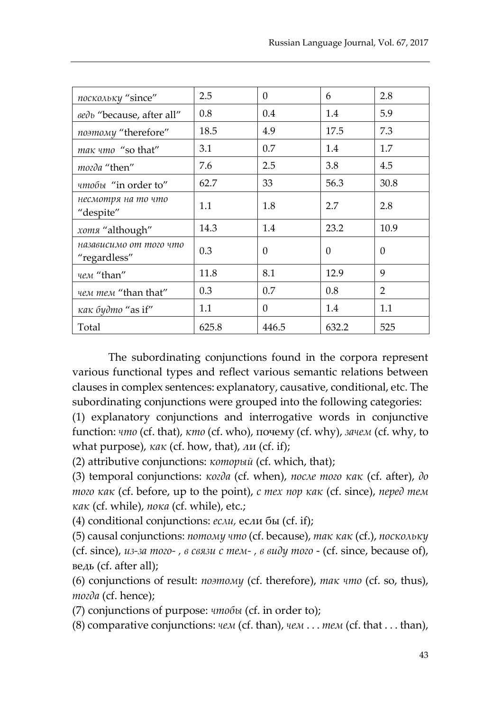| поскольку "since"                      | 2.5   | $\Omega$ | 6        | 2.8  |
|----------------------------------------|-------|----------|----------|------|
| <sub>βe</sub> λ "because, after all"   | 0.8   | 0.4      | 1.4      | 5.9  |
| поэтому "therefore"                    | 18.5  | 4.9      | 17.5     | 7.3  |
| mak umo "so that"                      | 3.1   | 0.7      | 1.4      | 1.7  |
| mozda "then"                           | 7.6   | 2.5      | 3.8      | 4.5  |
| чтобы "in order to"                    | 62.7  | 33       | 56.3     | 30.8 |
| несмотря на то что<br>"despite"        | 1.1   | 1.8      | 2.7      | 2.8  |
| хотя "although"                        | 14.3  | 1.4      | 23.2     | 10.9 |
| назависимо от того что<br>"regardless" | 0.3   | $\Omega$ | $\Omega$ | 0    |
| чем "than"                             | 11.8  | 8.1      | 12.9     | 9    |
| чем тем "than that"                    | 0.3   | 0.7      | 0.8      | 2    |
| κακ δydmo "as if"                      | 1.1   | $\Omega$ | 1.4      | 1.1  |
| Total                                  | 625.8 | 446.5    | 632.2    | 525  |

The subordinating conjunctions found in the corpora represent various functional types and reflect various semantic relations between clauses in complex sentences: explanatory, causative, conditional, etc. The subordinating conjunctions were grouped into the following categories:

(1) explanatory conjunctions and interrogative words in conjunctive function: *что* (cf. that), *кто* (cf. who), почему (cf. why), *зачем* (cf. why, to what purpose), *как* (cf. how, that), ли (cf. if);

(2) attributive conjunctions: *который* (cf. which, that);

(3) temporal conjunctions: *когда* (cf. when), *после того как* (cf. after), *до того как* (cf. before, up to the point), *с тех пор как* (cf. since), *перед тем как* (cf. while), *пока* (cf. while), etc.;

(4) conditional conjunctions: *если,* если бы (cf. if);

(5) causal conjunctions: *потому что* (cf. because), *так как* (cf.), *поскольку*  (cf. since), *из-за того- , в связи с тем- , в виду того* - (cf. since, because of), ведь (cf. after all);

(6) conjunctions of result: *поэтому* (cf. therefore), *так что* (cf. so, thus), *тогда* (cf. hence);

(7) conjunctions of purpose: *чтобы* (cf. in order to);

(8) comparative conjunctions: *чем* (cf. than), *чем* . . . *тем* (cf. that . . . than),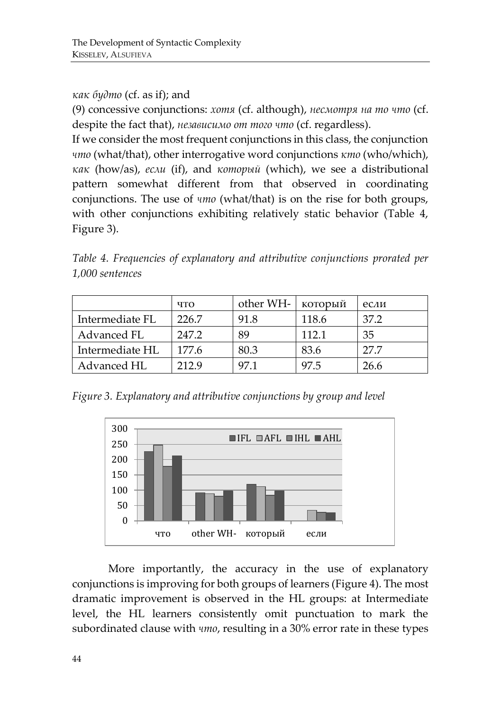### *как будто* (cf. as if); and

(9) concessive conjunctions: *хотя* (cf. although), *несмотря на то что* (cf. despite the fact that), *независимо от того что* (cf. regardless).

If we consider the most frequent conjunctions in this class, the conjunction *что* (what/that), other interrogative word conjunctions *кто* (who/which), *как* (how/as), *если* (if), and *который* (which), we see a distributional pattern somewhat different from that observed in coordinating conjunctions. The use of *что* (what/that) is on the rise for both groups, with other conjunctions exhibiting relatively static behavior (Table 4, Figure 3).

*Table 4. Frequencies of explanatory and attributive conjunctions prorated per 1,000 sentences*

|                 | ЧTO   | other WH- | который | если |
|-----------------|-------|-----------|---------|------|
| Intermediate FL | 226.7 | 91.8      | 118.6   | 37.2 |
| Advanced FL     | 247.2 | 89        | 112.1   | 35   |
| Intermediate HL | 177.6 | 80.3      | 83.6    | 27.7 |
| Advanced HL     | 212.9 | 971       | 97 5    | 26.6 |

*Figure 3. Explanatory and attributive conjunctions by group and level* 



More importantly, the accuracy in the use of explanatory conjunctions is improving for both groups of learners (Figure 4). The most dramatic improvement is observed in the HL groups: at Intermediate level, the HL learners consistently omit punctuation to mark the subordinated clause with *что*, resulting in a 30% error rate in these types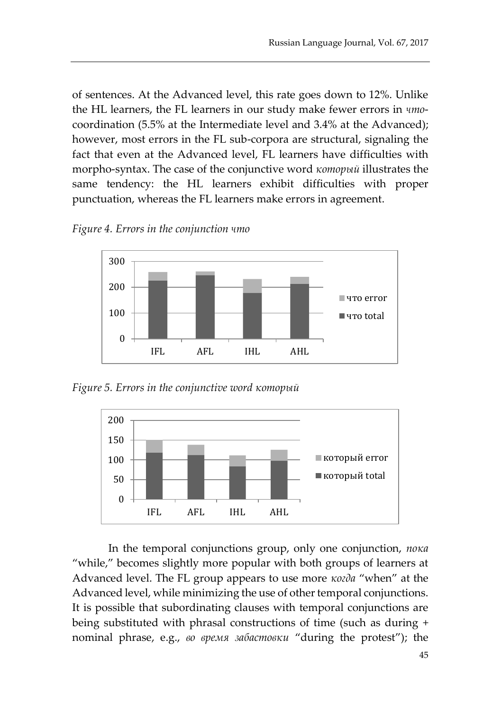of sentences. At the Advanced level, this rate goes down to 12%. Unlike the HL learners, the FL learners in our study make fewer errors in *что*coordination (5.5% at the Intermediate level and 3.4% at the Advanced); however, most errors in the FL sub-corpora are structural, signaling the fact that even at the Advanced level, FL learners have difficulties with morpho-syntax. The case of the conjunctive word *который* illustrates the same tendency: the HL learners exhibit difficulties with proper punctuation, whereas the FL learners make errors in agreement.





*Figure 5. Errors in the conjunctive word который*



In the temporal conjunctions group, only one conjunction, *пока*  "while," becomes slightly more popular with both groups of learners at Advanced level. The FL group appears to use more *когда* "when" at the Advanced level, while minimizing the use of other temporal conjunctions. It is possible that subordinating clauses with temporal conjunctions are being substituted with phrasal constructions of time (such as during + nominal phrase, e.g., *во время забастовки* "during the protest"); the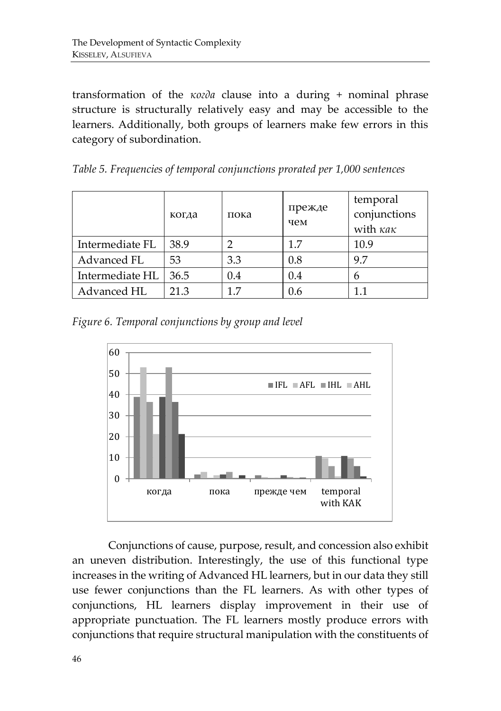transformation of the *когда* clause into a during + nominal phrase structure is structurally relatively easy and may be accessible to the learners. Additionally, both groups of learners make few errors in this category of subordination.

*Table 5. Frequencies of temporal conjunctions prorated per 1,000 sentences*

|                 | когда | пока | прежде<br>чем | temporal<br>conjunctions<br>with $\kappa a \kappa$ |
|-----------------|-------|------|---------------|----------------------------------------------------|
| Intermediate FL | 38.9  |      | 1.7           | 10.9                                               |
| Advanced FL     | 53    | 3.3  | 0.8           | 9.7                                                |
| Intermediate HL | 36.5  | 0.4  | 0.4           | b                                                  |
| Advanced HL     | 21.3  | 17   | 0.6           | 11                                                 |

*Figure 6. Temporal conjunctions by group and level* 



Conjunctions of cause, purpose, result, and concession also exhibit an uneven distribution. Interestingly, the use of this functional type increases in the writing of Advanced HL learners, but in our data they still use fewer conjunctions than the FL learners. As with other types of conjunctions, HL learners display improvement in their use of appropriate punctuation. The FL learners mostly produce errors with conjunctions that require structural manipulation with the constituents of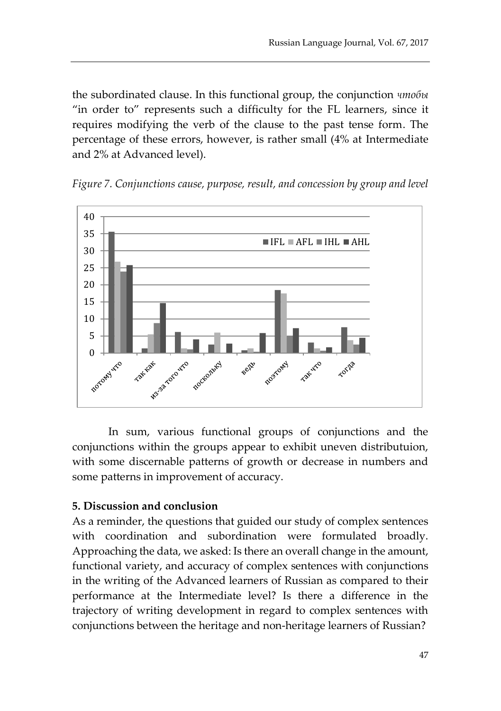the subordinated clause. In this functional group, the conjunction *чтобы*  "in order to" represents such a difficulty for the FL learners, since it requires modifying the verb of the clause to the past tense form. The percentage of these errors, however, is rather small (4% at Intermediate and 2% at Advanced level).





In sum, various functional groups of conjunctions and the conjunctions within the groups appear to exhibit uneven distributuion, with some discernable patterns of growth or decrease in numbers and some patterns in improvement of accuracy.

## **5. Discussion and conclusion**

As a reminder, the questions that guided our study of complex sentences with coordination and subordination were formulated broadly. Approaching the data, we asked: Is there an overall change in the amount, functional variety, and accuracy of complex sentences with conjunctions in the writing of the Advanced learners of Russian as compared to their performance at the Intermediate level? Is there a difference in the trajectory of writing development in regard to complex sentences with conjunctions between the heritage and non-heritage learners of Russian?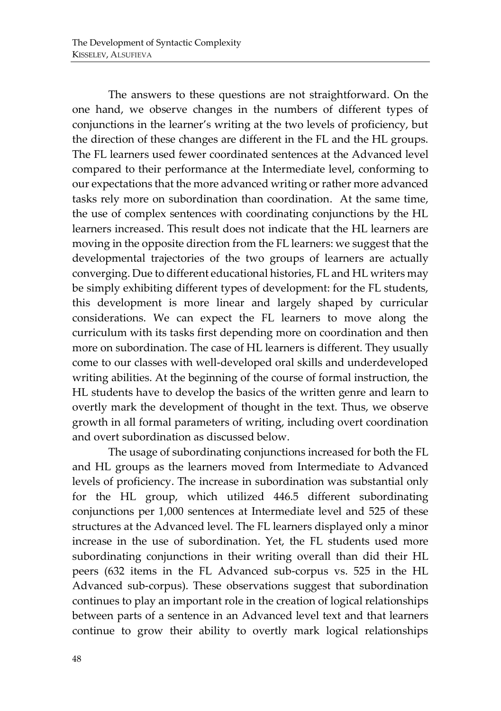The answers to these questions are not straightforward. On the one hand, we observe changes in the numbers of different types of conjunctions in the learner's writing at the two levels of proficiency, but the direction of these changes are different in the FL and the HL groups. The FL learners used fewer coordinated sentences at the Advanced level compared to their performance at the Intermediate level, conforming to our expectations that the more advanced writing or rather more advanced tasks rely more on subordination than coordination. At the same time, the use of complex sentences with coordinating conjunctions by the HL learners increased. This result does not indicate that the HL learners are moving in the opposite direction from the FL learners: we suggest that the developmental trajectories of the two groups of learners are actually converging. Due to different educational histories, FL and HL writers may be simply exhibiting different types of development: for the FL students, this development is more linear and largely shaped by curricular considerations. We can expect the FL learners to move along the curriculum with its tasks first depending more on coordination and then more on subordination. The case of HL learners is different. They usually come to our classes with well-developed oral skills and underdeveloped writing abilities. At the beginning of the course of formal instruction, the HL students have to develop the basics of the written genre and learn to overtly mark the development of thought in the text. Thus, we observe growth in all formal parameters of writing, including overt coordination and overt subordination as discussed below.

The usage of subordinating conjunctions increased for both the FL and HL groups as the learners moved from Intermediate to Advanced levels of proficiency. The increase in subordination was substantial only for the HL group, which utilized 446.5 different subordinating conjunctions per 1,000 sentences at Intermediate level and 525 of these structures at the Advanced level. The FL learners displayed only a minor increase in the use of subordination. Yet, the FL students used more subordinating conjunctions in their writing overall than did their HL peers (632 items in the FL Advanced sub-corpus vs. 525 in the HL Advanced sub-corpus). These observations suggest that subordination continues to play an important role in the creation of logical relationships between parts of a sentence in an Advanced level text and that learners continue to grow their ability to overtly mark logical relationships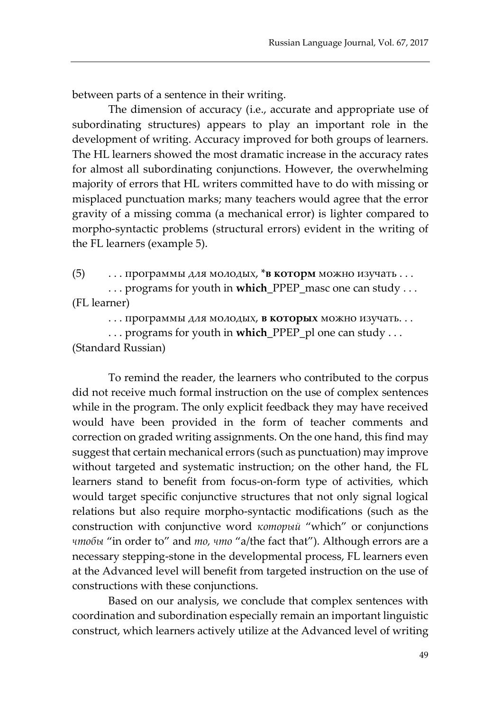between parts of a sentence in their writing.

The dimension of accuracy (i.e., accurate and appropriate use of subordinating structures) appears to play an important role in the development of writing. Accuracy improved for both groups of learners. The HL learners showed the most dramatic increase in the accuracy rates for almost all subordinating conjunctions. However, the overwhelming majority of errors that HL writers committed have to do with missing or misplaced punctuation marks; many teachers would agree that the error gravity of a missing comma (a mechanical error) is lighter compared to morpho-syntactic problems (structural errors) evident in the writing of the FL learners (example 5).

(5) . . . программы для молодых, \***в которм** можно изучать . . .

 . . . programs for youth in **which**\_PPEP\_masc one can study . . . (FL learner)

. . . программы для молодых, **в которых** можно изучать. . .

. . . programs for youth in **which**\_PPEP\_pl one can study . . . (Standard Russian)

To remind the reader, the learners who contributed to the corpus did not receive much formal instruction on the use of complex sentences while in the program. The only explicit feedback they may have received would have been provided in the form of teacher comments and correction on graded writing assignments. On the one hand, this find may suggest that certain mechanical errors (such as punctuation) may improve without targeted and systematic instruction; on the other hand, the FL learners stand to benefit from focus-on-form type of activities, which would target specific conjunctive structures that not only signal logical relations but also require morpho-syntactic modifications (such as the construction with conjunctive word *который* "which" or conjunctions *чтобы* "in order to" and *то, что* "a/the fact that"). Although errors are a necessary stepping-stone in the developmental process, FL learners even at the Advanced level will benefit from targeted instruction on the use of constructions with these conjunctions.

Based on our analysis, we conclude that complex sentences with coordination and subordination especially remain an important linguistic construct, which learners actively utilize at the Advanced level of writing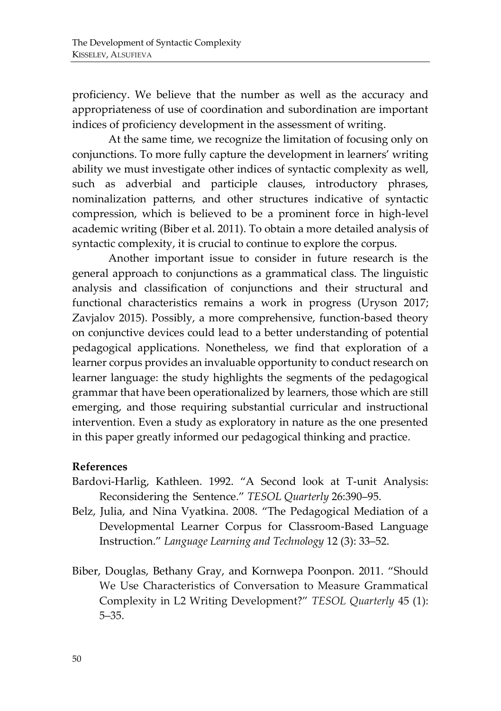proficiency. We believe that the number as well as the accuracy and appropriateness of use of coordination and subordination are important indices of proficiency development in the assessment of writing.

At the same time, we recognize the limitation of focusing only on conjunctions. To more fully capture the development in learners' writing ability we must investigate other indices of syntactic complexity as well, such as adverbial and participle clauses, introductory phrases, nominalization patterns, and other structures indicative of syntactic compression, which is believed to be a prominent force in high-level academic writing (Biber et al. 2011). To obtain a more detailed analysis of syntactic complexity, it is crucial to continue to explore the corpus.

Another important issue to consider in future research is the general approach to conjunctions as a grammatical class. The linguistic analysis and classification of conjunctions and their structural and functional characteristics remains a work in progress (Uryson 2017; Zavjalov 2015). Possibly, a more comprehensive, function-based theory on conjunctive devices could lead to a better understanding of potential pedagogical applications. Nonetheless, we find that exploration of a learner corpus provides an invaluable opportunity to conduct research on learner language: the study highlights the segments of the pedagogical grammar that have been operationalized by learners, those which are still emerging, and those requiring substantial curricular and instructional intervention. Even a study as exploratory in nature as the one presented in this paper greatly informed our pedagogical thinking and practice.

#### **References**

- Bardovi-Harlig, Kathleen. 1992. "A Second look at T-unit Analysis: Reconsidering the Sentence." *TESOL Quarterly* 26:390–95.
- Belz, Julia, and Nina Vyatkina. 2008. "The Pedagogical Mediation of a Developmental Learner Corpus for Classroom-Based Language Instruction." *Language Learning and Technology* 12 (3): 33–52.
- Biber, Douglas, Bethany Gray, and Kornwepa Poonpon. 2011. "Should We Use Characteristics of Conversation to Measure Grammatical Complexity in L2 Writing Development?" *TESOL Quarterly* 45 (1): 5–35.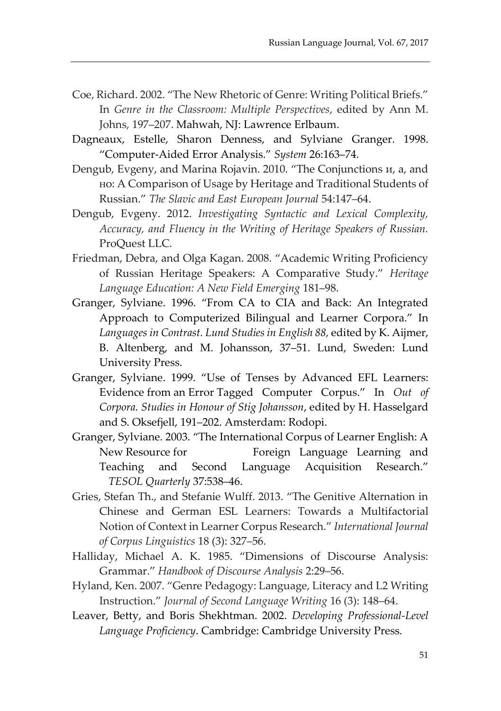- Coe, Richard. 2002. "The New Rhetoric of Genre: Writing Political Briefs." In *Genre in the Classroom: Multiple Perspectives*, edited by Ann M. Johns, 197–207. Mahwah, NJ: Lawrence Erlbaum.
- Dagneaux, Estelle, Sharon Denness, and Sylviane Granger. 1998. "Computer-Aided Error Analysis." *System* 26:163–74.
- Dengub, Evgeny, and Marina Rojavin. 2010. "The Conjunctions и, а, and но: A Comparison of Usage by Heritage and Traditional Students of Russian." *The Slavic and East European Journal* 54:147–64.
- Dengub, Evgeny. 2012. *Investigating Syntactic and Lexical Complexity, Accuracy, and Fluency in the Writing of Heritage Speakers of Russian.*  ProQuest LLC.
- Friedman, Debra, and Olga Kagan. 2008. "Academic Writing Proficiency of Russian Heritage Speakers: A Comparative Study." *Heritage Language Education: A New Field Emerging* 181–98.
- Granger, Sylviane. 1996. "From CA to CIA and Back: An Integrated Approach to Computerized Bilingual and Learner Corpora." In *Languages in Contrast. Lund Studies in English 88,* edited by K. Aijmer, B. Altenberg, and M. Johansson, 37–51. Lund, Sweden: Lund University Press.
- Granger, Sylviane. 1999. "Use of Tenses by Advanced EFL Learners: Evidence from an Error Tagged Computer Corpus." In *Out of Corpora. Studies in Honour of Stig Johansson*, edited by H. Hasselgard and S. Oksefjell, 191–202. Amsterdam: Rodopi.
- Granger, Sylviane. 2003. "The International Corpus of Learner English: A New Resource for Foreign Language Learning and Teaching and Second Language Acquisition Research." *TESOL Quarterly* 37:538–46.
- Gries, Stefan Th., and Stefanie Wulff. 2013. "The Genitive Alternation in Chinese and German ESL Learners: Towards a Multifactorial Notion of Context in Learner Corpus Research." *International Journal of Corpus Linguistics* 18 (3): 327–56.
- Halliday, Michael A. K. 1985. "Dimensions of Discourse Analysis: Grammar." *Handbook of Discourse Analysis* 2:29–56.
- Hyland, Ken. 2007. "Genre Pedagogy: Language, Literacy and L2 Writing Instruction." *Journal of Second Language Writing* 16 (3): 148–64.
- Leaver, Betty, and Boris Shekhtman. 2002. *Developing Professional-Level Language Proficiency*. Cambridge: Cambridge University Press.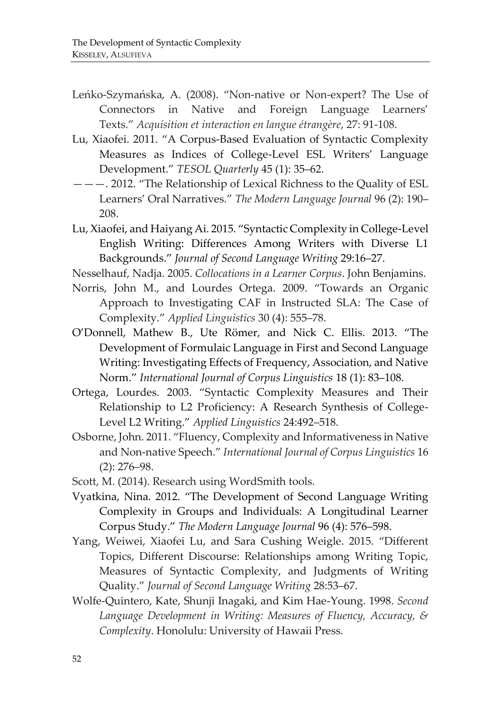- Leńko-Szymańska, A. (2008). "Non-native or Non-expert? The Use of Connectors in Native and Foreign Language Learners' Texts." *Acquisition et interaction en langue étrangère*, 27: 91-108.
- Lu, Xiaofei. 2011. "A Corpus-Based Evaluation of Syntactic Complexity Measures as Indices of College-Level ESL Writers' Language Development." *TESOL Quarterly* 45 (1): 35–62.
- ———. 2012. "The Relationship of Lexical Richness to the Quality of ESL Learners' Oral Narratives." *The Modern Language Journal* 96 (2): 190– 208.
- Lu, Xiaofei, and Haiyang Ai. 2015. "Syntactic Complexity in College-Level English Writing: Differences Among Writers with Diverse L1 Backgrounds." *Journal of Second Language Writing* 29:16–27.
- Nesselhauf, Nadja. 2005. *Collocations in a Learner Corpus*. John Benjamins.
- Norris, John M., and Lourdes Ortega. 2009. "Towards an Organic Approach to Investigating CAF in Instructed SLA: The Case of Complexity." *Applied Linguistics* 30 (4): 555–78.
- O'Donnell, Mathew B., Ute Römer, and Nick C. Ellis. 2013. "The Development of Formulaic Language in First and Second Language Writing: Investigating Effects of Frequency, Association, and Native Norm." *International Journal of Corpus Linguistics* 18 (1): 83–108.
- Ortega, Lourdes. 2003. "Syntactic Complexity Measures and Their Relationship to L2 Proficiency: A Research Synthesis of College-Level L2 Writing." *Applied Linguistics* 24:492–518.
- Osborne, John. 2011. "Fluency, Complexity and Informativeness in Native and Non-native Speech." *International Journal of Corpus Linguistics* 16 (2): 276–98.
- Scott, M. (2014). Research using WordSmith tools.
- Vyatkina, Nina. 2012. "The Development of Second Language Writing Complexity in Groups and Individuals: A Longitudinal Learner Corpus Study." *The Modern Language Journal* 96 (4): 576–598.
- Yang, Weiwei, Xiaofei Lu, and Sara Cushing Weigle. 2015. "Different Topics, Different Discourse: Relationships among Writing Topic, Measures of Syntactic Complexity, and Judgments of Writing Quality." *Journal of Second Language Writing* 28:53–67.
- Wolfe-Quintero, Kate, Shunji Inagaki, and Kim Hae-Young. 1998. *Second Language Development in Writing: Measures of Fluency, Accuracy, & Complexity*. Honolulu: University of Hawaii Press.